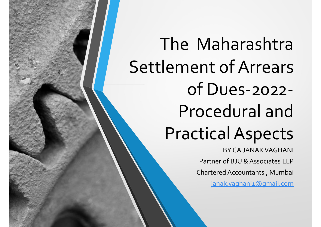The Maharashtra Settlement of Arrears of Dues-2022- Procedural and Practical Aspects

BY CA JANAK VAGHANI Partner of BJU & Associates LLP Chartered Accountants , Mumbai janak.vaghani1@gmail.com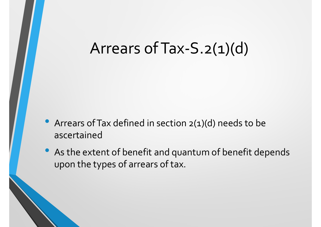- Arrears of Tax defined in section 2(1)(d) needs to be ascertained
- As the extent of benefit and quantum of benefit depends upon the types of arrears of tax.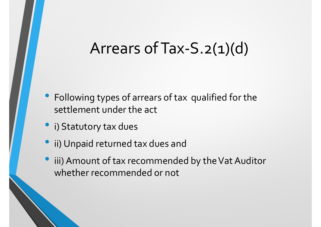- Following types of arrears of tax qualified for the settlement under the act
- i) Statutory tax dues
- ii) Unpaid returned tax dues and
- iii) Amount of tax recommended by the Vat Auditor whether recommended or not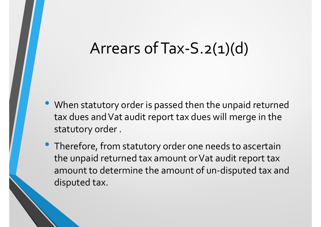- When statutory order is passed then the unpaid returned tax dues and Vat audit report tax dues will merge in the statutory order .
- Therefore, from statutory order one needs to ascertain the unpaid returned tax amount or Vat audit report tax amount to determine the amount of un-disputed tax and disputed tax.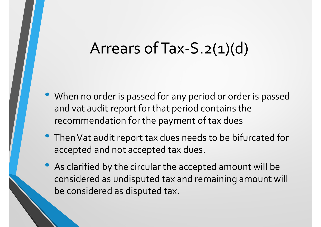- When no order is passed for any period or order is passed and vat audit report for that period contains the recommendation for the payment of tax dues
- Then Vat audit report tax dues needs to be bifurcated for accepted and not accepted tax dues.
- As clarified by the circular the accepted amount will be considered as undisputed tax and remaining amount will be considered as disputed tax.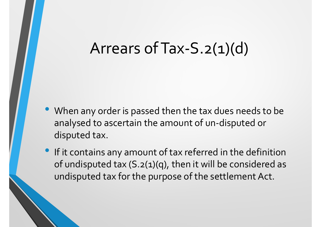- When any order is passed then the tax dues needs to be Arrears of Tax-S.2(1)(d)<br>When any order is passed then the tax dues needs to be<br>analysed to ascertain the amount of un-disputed or<br>disputed tax.<br>If it contains any amount of tax referred in the definition disputed tax.
- If it contains any amount of tax referred in the definition of undisputed tax (S.2(1)(q), then it will be considered as undisputed tax for the purpose of the settlement Act.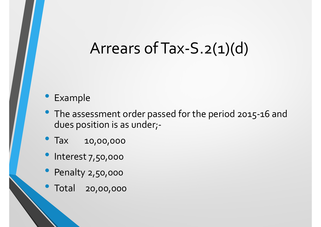#### • Example

- The assessment order passed for the period 2015-16 and dues position is as under;-
- Tax 10,00,000
- · Interest 7,50,000
- Penalty 2,50,000
- Total 20,00,000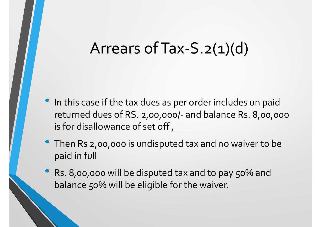- In this case if the tax dues as per order includes un paid Arrears of Tax-S. 2(1)(d)<br>In this case if the tax dues as per order includes un paid<br>returned dues of RS. 2,00,000/- and balance Rs. 8,00,000<br>is for disallowance of set off,<br>Then Rs 2.00,000 is undisputed tax and no waive is for disallowance of set off ,
- Then Rs 2,00,000 is undisputed tax and no waiver to be paid in full
- Rs. 8,00,000 will be disputed tax and to pay 50% and balance 50% will be eligible for the waiver.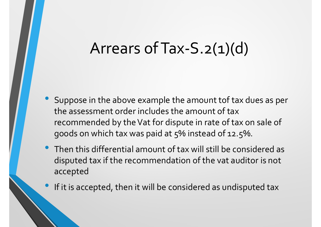- Arrears of Tax-S.2(1)(d)<br>• Suppose in the above example the amount tof tax dues as per<br>the assessment order includes the amount of tax<br>recommended by the Vat for dispute in rate of tax on sale of the assessment order includes the amount of tax recommended by the Vat for dispute in rate of tax on sale of goods on which tax was paid at 5% instead of 12.5%.
- Then this differential amount of tax will still be considered as disputed tax if the recommendation of the vat auditor is not accepted
- If it is accepted, then it will be considered as undisputed tax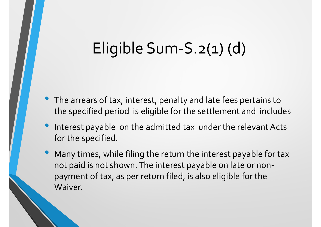# Eligible Sum-S.2(1) (d)

- The arrears of tax, interest, penalty and late fees pertains to the specified period is eligible for the settlement and includes
- Interest payable on the admitted tax under the relevant Acts for the specified.
- Many times, while filing the return the interest payable for tax not paid is not shown. The interest payable on late or nonpayment of tax, as per return filed, is also eligible for the Waiver.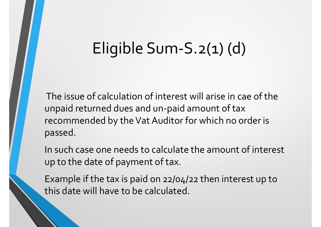# Eligible Sum-S.2(1) (d)

Eligible Sum-S.2(1) (d)<br>The issue of calculation of interest will arise in cae of the<br>unpaid returned dues and un-paid amount of tax<br>recommended by the Vat Auditor for which no order is unpaid returned dues and un-paid amount of tax recommended by the Vat Auditor for which no order is passed.

In such case one needs to calculate the amount of interest up to the date of payment of tax.

Example if the tax is paid on 22/04/22 then interest up to this date will have to be calculated.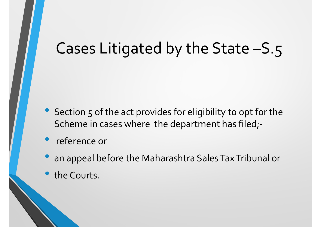- Section 5 of the act provides for eligibility to opt for the Scheme in cases where the department has filed;-
- reference or
- an appeal before the Maharashtra Sales Tax Tribunal or
- the Courts.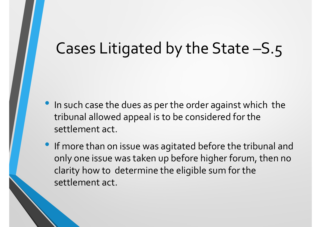- In such case the dues as per the order against which the tribunal allowed appeal is to be considered for the settlement act.
- If more than on issue was agitated before the tribunal and only one issue was taken up before higher forum, then no clarity how to determine the eligible sum for the settlement act.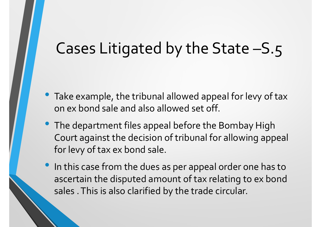- Take example, the tribunal allowed appeal for levy of tax on ex bond sale and also allowed set off.
- The department files appeal before the Bombay High Court against the decision of tribunal for allowing appeal for levy of tax ex bond sale.
- In this case from the dues as per appeal order one has to ascertain the disputed amount of tax relating to ex bond sales . This is also clarified by the trade circular.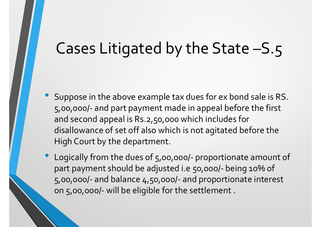- Suppose in the above example tax dues for ex bond sale is RS. Cases Litigated by the State —S.5<br>Suppose in the above example tax dues for ex bond sale is RS.<br>5,00,000/- and part payment made in appeal before the first<br>and second appeal is Rs.2,50,000 which includes for<br>disallowance o and second appeal is Rs.2,50,000 which includes for disallowance of set off also which is not agitated before the High Court by the department. • Suppose in the above example tax dues for ex bond sale is RS.<br>5,00,000/- and part payment made in appeal before the first<br>and second appeal is Rs.2,50,000 which includes for<br>disallowance of set off also which is not agi Suppose in the above example tax dues for ex bond sale is RS.<br>5,00,000/- and part payment made in appeal before the first<br>and second appeal is Rs.2,50,000 which includes for<br>disallowance of set off also which is not agitat Suppose in the above example tax dues for ex bond sale is RS.<br>5,00,000/- and part payment made in appeal before the first<br>and second appeal is Rs.2,50,000 which includes for<br>disallowance of set off also which is not agitat Suppose in the above example tax dues for ex bot 5,00,000/- and part payment made in appeal be and second appeal is Rs.2,50,000 which includes disallowance of set off also which is not agitated High Court by the department
-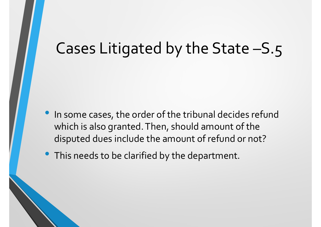- In some cases, the order of the tribunal decides refund which is also granted. Then, should amount of the disputed dues include the amount of refund or not?
- This needs to be clarified by the department.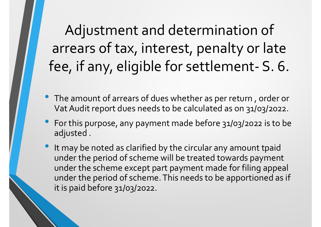Adjustment and determination of arrears of tax, interest, penalty or late Adjustment and determination of<br>arrears of tax, interest, penalty or late<br>fee, if any, eligible for settlement- S. 6.

- The amount of arrears of dues whether as per return , order or Vat Audit report dues needs to be calculated as on 31/03/2022.
- For this purpose, any payment made before 31/03/2022 is to be adjusted .
- It may be noted as clarified by the circular any amount tpaid under the period of scheme will be treated towards payment under the scheme except part payment made for filing appeal under the period of scheme. This needs to be apportioned as if it is paid before 31/03/2022.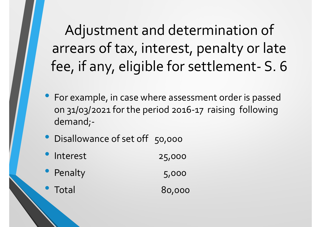Adjustment and determination of arrears of tax, interest, penalty or late Adjustment and determination of<br>arrears of tax, interest, penalty or late<br>fee, if any, eligible for settlement- S. 6

- For example, in case where assessment order is passed on 31/03/2021 for the period 2016-17 raising following demand;-
- Disallowance of set off 50,000
- Interest 25,000
- **Penalty** 5,000
- Total 80,000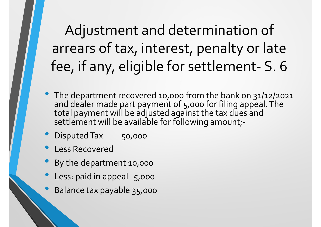Adjustment and determination of arrears of tax, interest, penalty or late Adjustment and determination of<br>arrears of tax, interest, penalty or late<br>fee, if any, eligible for settlement- S. 6<br>The department recovered 10,000 from the bank on 31/12/2021

- The department recovered 10,000 from the bank on 31/12/2021 and dealer made part payment of 5,000 for filing appeal. The total payment will be adjusted against the tax dues and<br>settlement will be available for following amount;-
- **Disputed Tax** 50,000
- Less Recovered
- By the department 10,000
- Less: paid in appeal 5,000
- Balance tax payable 35,000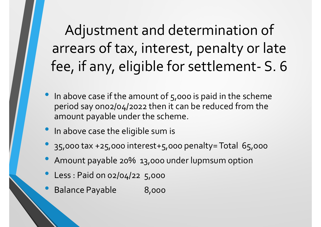Adjustment and determination of arrears of tax, interest, penalty or late Adjustment and determination of<br>arrears of tax, interest, penalty or late<br>fee, if any, eligible for settlement- S. 6<br>In above case if the amount of 5,000 is paid in the scheme

- In above case if the amount of  $5,000$  is paid in the scheme period say on02/04/2022 then it can be reduced from the amount payable under the scheme. **FEET THEFT COLLETTE SET AMOVE THE SET AMOVE AMONG A SET AMONG A SUMPTION SET AMONG A SUMPTION SET AMONG A SUMPTION CONTINUES AND A SUMPTION CONTINUES AND A SUMPTION CONTINUES A SUMPTION CONTINUES A SUMPTION CONTINUES AND**
- In above case the eligible sum is
- 35,000 tax +25,000 interest+5,000 penalty= Total 65,000
- 
- Less : Paid on 02/04/22 5,000
- **Balance Payable 8,000**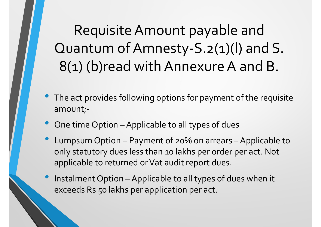Requisite Amount payable and Quantum of Amnesty-S.2(1)(l) and S. 8(1) (b)read with Annexure A and B. • Cuantum of Amnesty-S.2(1)(l) and S.<br>
8(1) (b)read with Annexure A and B.<br>
• The act provides following options for payment of the requisinem<br>
• One time Option – Applicable to all types of dues<br>
• Lumpsum Option – Paymen

- The act provides following options for payment of the requisite amount;-
- 
- QUANTUM OT AMNESTY-5.2(1)(I) and 5.<br>
8(1) (b)read with Annexure A and B.<br>
 The act provides following options for payment of the requisite<br>
 One time Option Applicable to all types of dues<br>
 Lumpsum Option Payment o only statutory dues less than 10 lakhs per order per act. Not applicable to returned or Vat audit report dues. • The act provides following options for payment of the requisite<br>
• One time Option – Applicable to all types of dues<br>
• Lumpsum Option – Payment of 20% on arrears – Applicable to<br>
only statutory dues less than 10 lakhs p
- exceeds Rs 50 lakhs per application per act.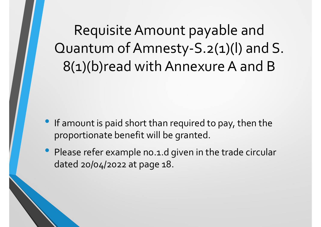Requisite Amount payable and Quantum of Amnesty-S.2(1)(l) and S. 8(1)(b)read with Annexure A and B

- If amount is paid short than required to pay, then the proportionate benefit will be granted.
- Please refer example no.1.d given in the trade circular dated 20/04/2022 at page 18.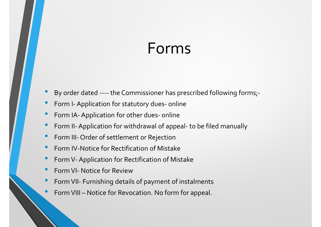#### Forms

- By order dated ---- the Commissioner has prescribed following forms;<br>• Form I- Application for statutory dues- online<br>• Form IA- Application for other dues- online • By order dated ---- the Commissioner has prescribed following forms;<br>• By order dated ---- the Commissioner has prescribed following forms;<br>• Form I- Application for other dues- online<br>• Form II- Application for withdraw • By order dated ---- the Commissioner has prescribed following forms;<br>• Form I- Application for statutory dues- online<br>• Form II- Application for other dues- online<br>• Form II- Application for withdrawal of appeal- to be f • By order dated ---- the Commissioner has prescribed following forms;<br>• Form I- Application for statutory dues- online<br>• Form II- Application for other dues- online<br>• Form II- Application for withdrawal of appeal- to be f • By order dated ---- the Commissioner has prescribed following forms;<br>• Form I- Application for statutory dues- online<br>• Form II- Application for other dues- online<br>• Form II- Application for withdrawal of appeal- to be f
- 
- 
- By order dated ---- the Commissioner has prescribed following<br>• Form I- Application for statutory dues- online<br>• Form IA- Application for other dues- online<br>• Form II- Application for withdrawal of appeal- to be filed ma • By order dated ---- the Commissioner has prescribed following form<br>• Form I- Application for statutory dues- online<br>• Form II- Application for other dues- online<br>• Form II- Application for withdrawal of appeal- to be fil
- 
- Form IV-Notice for Rectification of Mistake
- 
- 
- By order dated ---- the Commissioner has prescribed fol<br>• Form I- Application for statutory dues- online<br>• Form II- Application for other dues- online<br>• Form II- Application for withdrawal of appeal- to be filed<br>• Form I • Form I- Application for statutory dues- online<br>• Form IA- Application for other dues- online<br>• Form II- Application for withdrawal of appeal- to be fil<br>• Form III- Order of settlement or Rejection<br>• Form IV-Notice for Re
-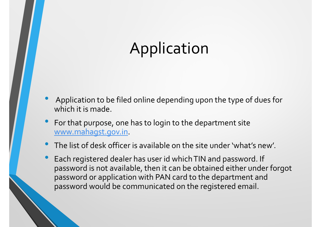- Application to be filed online depending upon the type of dues for which it is made.
- For that purpose, one has to login to the department site www.mahagst.gov.in.
- The list of desk officer is available on the site under 'what's new'.
- Each registered dealer has user id which TIN and password. If password is not available, then it can be obtained either under forgot password or application with PAN card to the department and password would be communicated on the registered email.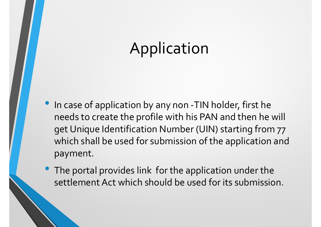- In case of application by any non -TIN holder, first he needs to create the profile with his PAN and then he will get Unique Identification Number (UIN) starting from 77 which shall be used for submission of the application and payment.
- The portal provides link for the application under the settlement Act which should be used for its submission.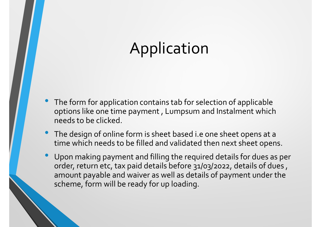- The form for application contains tab for selection of applicable options like one time payment , Lumpsum and Instalment which needs to be clicked. • The form for application contains tab for selection of applicable<br>options like one time payment , Lumpsum and Instalment which<br>needs to be clicked.<br>• The design of online form is sheet based i.e one sheet opens at a<br>time
- time which needs to be filled and validated then next sheet opens.
- Upon making payment and filling the required details for dues as per order, return etc, tax paid details before 31/03/2022, details of dues , amount payable and waiver as well as details of payment under the scheme, form will be ready for up loading.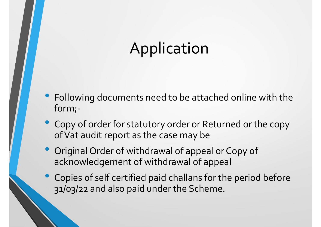- Following documents need to be attached online with the form;-
- Copy of order for statutory order or Returned or the copy of Vat audit report as the case may be
- Original Order of withdrawal of appeal or Copy of acknowledgement of withdrawal of appeal
- Copies of self certified paid challans for the period before 31/03/22 and also paid under the Scheme.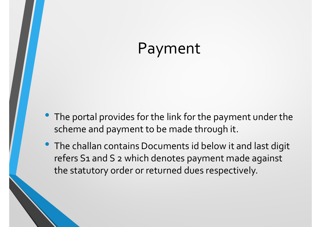#### Payment

- The portal provides for the link for the payment under the scheme and payment to be made through it.
- The challan contains Documents id below it and last digit refers S1 and S 2 which denotes payment made against the statutory order or returned dues respectively.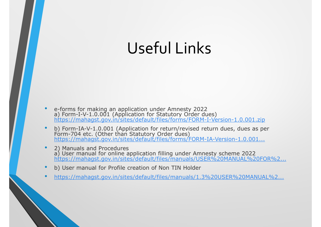# Useful Links

- e-forms for making an application under Amnesty 2022 a) Form-I-V-1.0.001 (Application for Statutory Order dues)<br><u>https://mahagst.gov.in/sites/default/files/forms/FORM-I-Version-1.0.001.zip</u>
- b) Form-IA-V-1.0.001 (Application for return/revised return dues, dues as per Form-704 etc. (Other than Statutory Order dues)<br>https://mahagst.gov.in/sites/default/files/forms/FORM-IA-Version-1.0.001...
- 2) Manuals and Procedures<br>a) User manual for online application filling under Amnesty scheme 2022 https://mahagst.gov.in/sites/default/files/manuals/USER%20MANUAL%20FOR%2...
- b) User manual for Profile creation of Non TIN Holder
- https://mahagst.gov.in/sites/default/files/manuals/1.3%20USER%20MANUAL%2...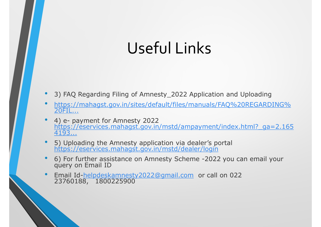# Useful Links

- 3) FAQ Regarding Filing of Amnesty 2022 Application and Uploading
- https://mahagst.gov.in/sites/default/files/manuals/FAQ%20REGARDING% 20FIL...
- **USEFULLINKS<br>
 3) FAQ Regarding Filing of Amnesty\_2022 Application an<br>
 https://mahagst.gov.in/sites/default/files/manuals/FAQ%<br>
 20FIL...<br>
 4) e- payment for Amnesty 2022<br>
https://eservices.mahagst.gov.in/mstd/ampayme** 4) e- payment for Amnesty 2022<br>https://eservices.mahagst.gov.in/mstd/ampayment/index.html?\_ga=2.165 4193... 3) FAQ Regarding Filing of Amnesty\_2022 Applicatio<br>
https://mahagst.gov.in/sites/default/files/manuals/F<br>
20FIL...<br>
4) e- payment for Amnesty 2022<br>
https://eservices.mahagst.gov.in/mstd/ampayment/<br>
4193...<br>
5) Uploading th
- 5) Uploading the Amnesty application via dealer's portal https://eservices.mahagst.gov.in/mstd/dealer/login
- 6) For further assistance on Amnesty Scheme -2022 you can email your query on Email ID
- Email Id-helpdeskamnesty2022@gmail.com or call on 022